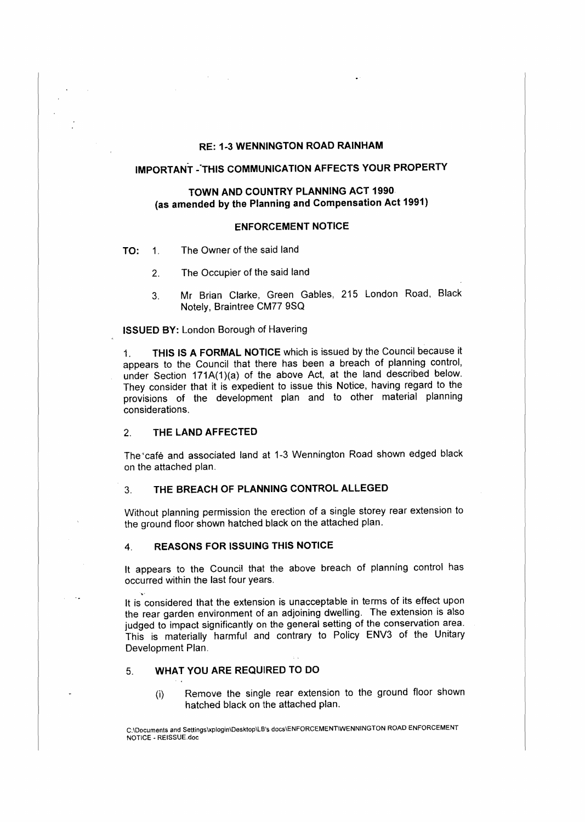## **RE: 1-3 WENNINGTON ROAD RAINHAM**

## **IMPORTANT -·THIS COMMUNICATION AFFECTS YOUR PROPERTY**

## **TOWN AND COUNTRY PLANNING ACT 1990 (as amended by the Planning and Compensation Act 1991)**

#### **ENFORCEMENT NOTICE**

- **TO: 1.** The Owner of the said land
	- 2. The Occupier of the said land
	- 3. Mr Brian Clarke, Green Gables, 215 London Road, Black Notely, Braintree CM77 9SQ

**ISSUED BY:** London Borough of Havering

1. **THIS IS A FORMAL NOTICE** which is issued by the Council because it appears to the Council that there has been a breach of planning control, under Section 171A(1)(a) of the above Act, at the land described below. They consider that it is expedient to issue this Notice, having regard to the provisions of the development plan and to other material planning considerations.

#### 2. **THE LAND AFFECTED**

The café and associated land at 1-3 Wennington Road shown edged black on the attached plan.

### 3. **THE BREACH OF PLANNING CONTROL ALLEGED**

Without planning permission the erection of a single storey rear extension to the ground floor shown hatched black on the attached plan.

#### **4. REASONS FOR ISSUING THIS NOTICE**

It appears to the Council that the above breach of planning control has occurred within the last four years.

It is considered that the extension is unacceptable in terms of its effect upon the rear garden environment of an adjoining dwelling. The extension is also judged to impact significantly on the general setting of the conservation area. This is materially harmful and contrary to Policy ENV3 of the Unitary Development Plan.

#### 5. **WHAT YOU ARE REQUIRED TO DO**

(i) Remove the single rear extension to the ground floor shown hatched black on the attached plan.

C:\Documents **and** Settingslxplogin\Desktop\LB's docs\ENFORCEMENT\WENNINGTON ROAD ENFORCEMENT NOTICE • REISSUE.doc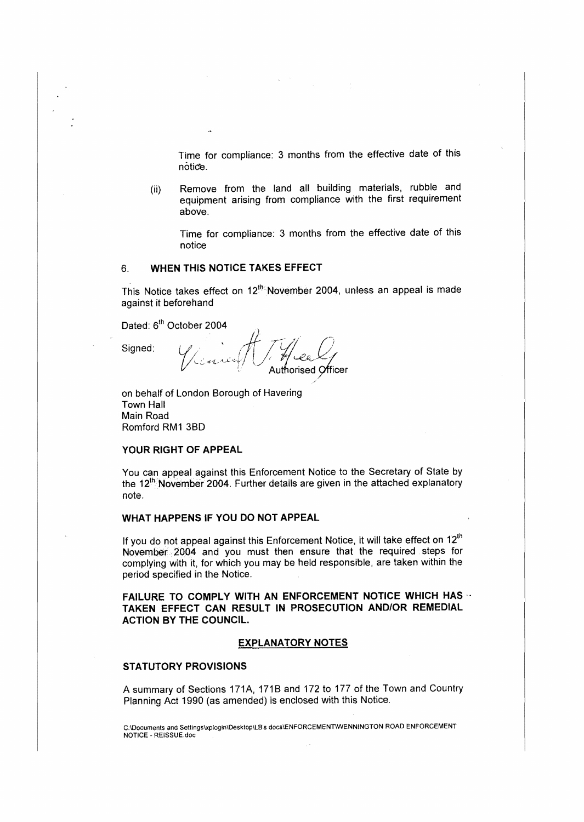Time for compliance: 3 months from the effective date of this notice.

(ii) Remove from the land all building materials, rubble and equipment arising from compliance with the first requirement above.

Time for compliance: 3 months from the effective date of this notice

## 6. **WHEN THIS NOTICE TAKES EFFECT**

This Notice takes effect on 12<sup>th</sup> November 2004, unless an appeal is made against it beforehand

Dated: 6<sup>th</sup> October 2004

Signed:

uthorised Officer.

on behalf of London Borough of Havering Town Hall Main Road Romford RM1 38D

#### **YOUR RIGHT OF APPEAL**

You can appeal against this Enforcement Notice to the Secretary of State by the 12<sup>th</sup> November 2004. Further details are given in the attached explanatory note.

#### **WHAT HAPPENS IF YOU DO NOT APPEAL**

If you do not appeal against this Enforcement Notice, it will take effect on 12<sup>th</sup> November 2004 and you must then ensure that the required steps for complying with it, for which you may be held responsible, are taken within the period specified in the Notice.

**FAILURE TO COMPLY WITH AN ENFORCEMENT NOTICE WHICH HAS** · · **TAKEN EFFECT CAN RESULT IN PROSECUTION AND/OR REMEDIAL**  ACTION BY THE COUNCIL.

#### **EXPLANATORY NOTES**

### **STATUTORY PROVISIONS**

A summary of Sections 171A, 171B and 172 to 177 of the Town and Country Planning Act 1990 (as amended) is enclosed with this Notice.

C:\Documents and Settings\xplogin\Desktop\LB's docs\ENFORCEMENT\WENNINGTON ROAD ENFORCEMENT NOTICE - REISSUE.doc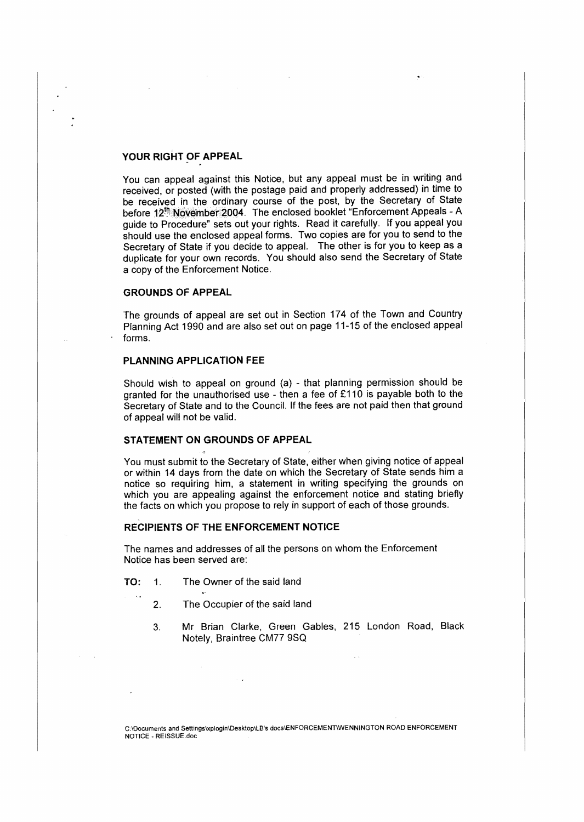### **YOUR RIGHT OF APPEAL**

You can appeal against this Notice, but any appeal must be in writing and received, or posted (with the postage paid and properly addressed) in time to be received in the ordinary course of the post, by the Secretary of State before 12<sup>th</sup> November 2004. The enclosed booklet "Enforcement Appeals - A guide to Procedure" sets out your rights. Read it carefully. If you appeal you should use the enclosed appeal forms. Two copies are for you to send to the Secretary of State if you decide to appeal. The other is for you to keep as a duplicate for your own records. You should also send the Secretary of State a copy of the Enforcement Notice.

#### **GROUNDS OF APPEAL**

The grounds of appeal are set out in Section 174 of the Town and Country Planning Act 1990 and are also set out on page 11-15 of the enclosed appeal forms.

#### **PLANNING APPLICATION FEE**

Should wish to appeal on ground (a) - that planning permission should be granted for the unauthorised use - then a fee of £110 is payable both to the Secretary of State and to the Council. If the fees are not paid then that ground of appeal will not be valid.

#### **STATEMENT ON GROUNDS OF APPEAL**

You must submit to the Secretary of State, either when giving notice of appeal or within 14 days from the date on which the Secretary of State sends him a notice so requiring him, a statement in writing specifying the grounds on which you are appealing against the enforcement notice and stating briefly the facts on which you propose to rely in support of each of those grounds.

#### **RECIPIENTS OF THE ENFORCEMENT NOTICE**

The names and addresses of all the persons on whom the Enforcement Notice has been served are:

- **TO:** 1. The Owner of the said land
	- 2. The Occupier of the said land
	- 3. Mr Brian Clarke, Green Gables, 215 London Road, Black Notely, Braintree CM77 9SQ

C:\Documents and Settingslxplogin\Desktop\LB's docs1ENFORCEMEN1'WENNINGTON ROAD ENFORCEMENT NOTICE • REISSUE.doc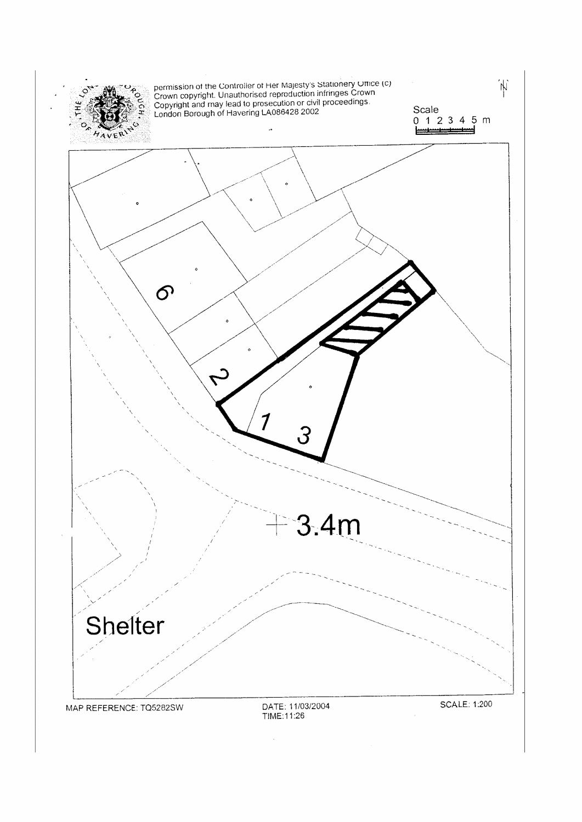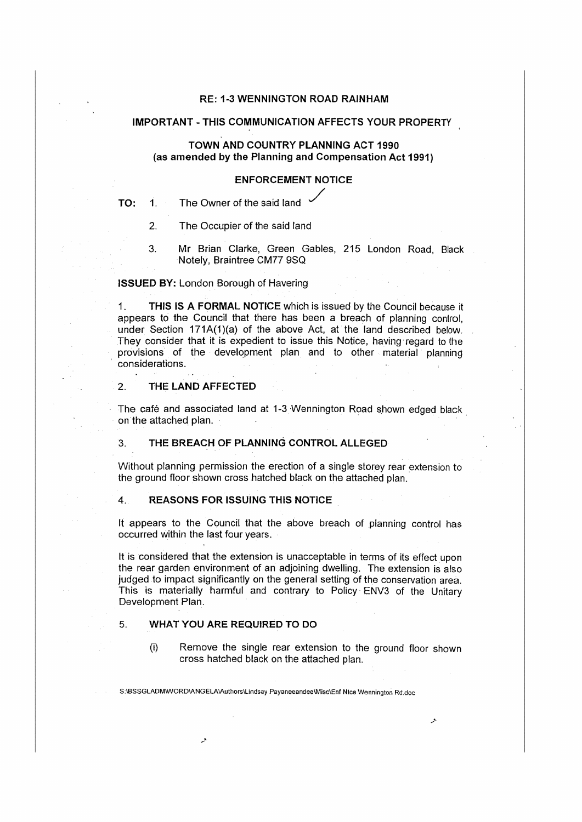#### RE: 1-3 WENNINGTON ROAD RAINHAM

#### IMPORTANT - THIS COMMUNICATION AFFECTS YOUR PROPERTY

## TOWN AND COUNTRY PLANNING ACT 1990 (as amended by the Planning and Compensation Act 1991)

## **ENFORCEMENT NOTICE**

- **TO:** 1. The Owner of the said land /
	- 2. The Occupier of the said land
	- 3. Mr Brian Clarke, Green Gables, 215 London Road, Black Notely, Braintree CM77 9SO

#### **ISSUED BY:** London Borough of Havering

1. **THIS IS A FORMAL NOTICE** which is issued by the Council because it appears to the Council that there has been a breach of planning control, under Section 171A(1)(a) of the above Act, at the land described below. They consider that it is expedient to issue this Notice, having regard to the provisions of the development plan and to other material planning considerations.

#### 2. **THE LAND AFFECTED**

The cafe and associated land at 1-3 Wennington Road shown edged black on the attached plan.

## 3. **THE BREACH OF PLANNING CONTROL ALLEGED**

Without planning permission the erection of a single storey rear extension to the ground floor shown cross hatched black on the attached plan.

#### 4. **REASONS FOR ISSUING THIS NOTICE**

It appears to the Council that the above breach of planning control has occurred within the last four years.

It is considered that the extension is unacceptable in terms of its effect upon the rear garden environment of an adjoining dwelling. The extension is also judged to impact significantly on the general setting of the conservation area. This is materially harmful and contrary to Policy ENV3 of the Unitary Development Plan.

#### 5. **WHAT YOU ARE REQUIRED TO DO**

(i) Remove the single rear extension to the ground floor shown cross hatched black on the attached plan.

S:\BSSGLADM\WORD\ANGELA\Authors\Lindsay Payaneeandee\Misc\Enf Nice Wennington Rd.doc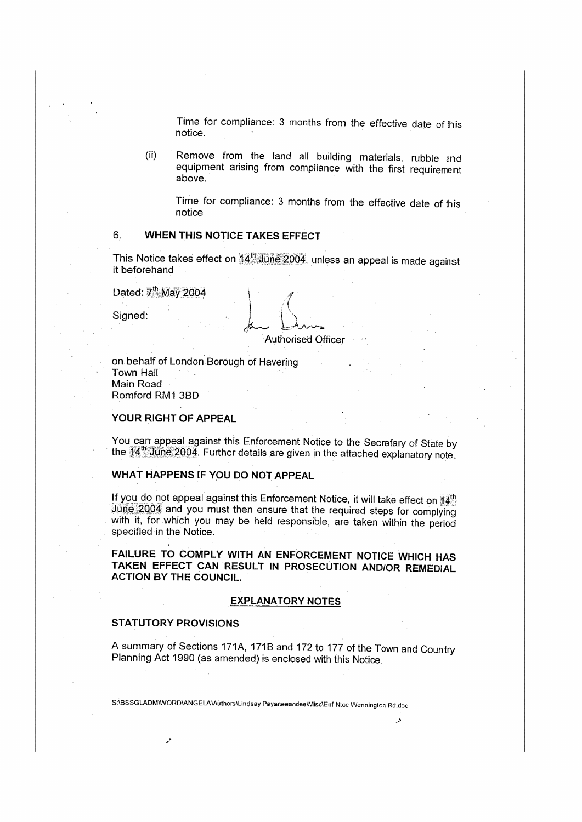Time for compliance: 3 months from the effective date of this notice.

(ii) Remove from the land all building materials, rubble and equipment arising from compliance with the first requirement above.

Time for compliance: 3 months from the effective date of this notice

## 6. **WHEN THIS NOTICE TAKES EFFECT**

This Notice takes effect on  $14<sup>th</sup>$  June 2004, unless an appeal is made against it beforehand

Dated:  $7<sup>th</sup>$  May 2004

Signed:

\  $\bigcup$ Authorised Officer

on behalf of London Borough of Havering Town Hall Main Road Romford RM1 3BD

#### **YOUR RIGHT OF APPEAL**

You can appeal against this Enforcement Notice to the Secretary of State by the 14<sup>th</sup> June 2004. Further details are given in the attached explanatory note.

## **WHAT HAPPENS IF YOU DO NOT APPEAL**

If you do not appeal against this Enforcement Notice, it will take effect on  $14\%$  $J$ une  $2004$  and you must then ensure that the required steps for complying with it, for which you may be held responsible, are taken within the period specified in the Notice.

**FAILURE TO COMPLY WITH AN ENFORCEMENT NOTICE WHICH HAS TAKEN EFFECT CAN RESULT IN PROSECUTION AND/OR REMEDlAL ACTION BY THE COUNCIL.** 

#### **EXPLANATORY NOTES**

#### **STATUTORY PROVISIONS**

A summary of Sections 171A, 171B and 172 to 177 of the Town and Country Planning Act 1990 (as amended) is enclosed with this Notice.

S:iBSSGLADM\WORO\ANGELA\Authors\lindsay Payaneeandee\Nlisc\Enf Nice Wennlngton Rd.doc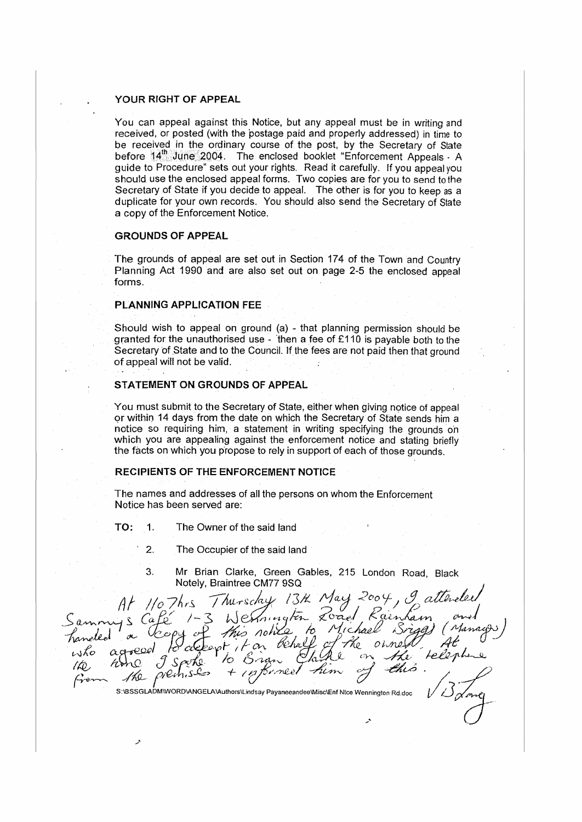#### **YOUR RIGHT OF APPEAL**

You can appeal against this Notice, but any appeal must be in writing and received, or posted (with the postage paid and properly addressed} in time to be received in. the ordinary course of the post, by the Secretary of State before 14<sup>th</sup> June 2004. The enclosed booklet "Enforcement Appeals - A guide to Procedure" sets out your rights. Read it carefully. If you appeal you should use the enclosed appeal forms. Two copies are for you to send to the Secretary of State if you decide to appeal. The other is for you to keep as a duplicate for your own records. You should also send the Secretary of State a copy of the Enforcement Notice.

#### **GROUNDS OF APPEAL**

The grounds of appeal are set out in Section 174 of the Town and Country Planning Act 1990 and are also set out on page 2-5 the enclosed appeal forms.

## **PLANNING APPLICATION** FEE

Should wish to appeal on ground (a) - that planning permission should be granted for the unauthorised use - then a fee of  $£110$  is payable both to the Secretary of State and to the Council. If the fees are not paid then that ground of appeal will not be valid.

#### **STATEMENT ON GROUNDS OF APPEAL**

You must submit to the Secretary of State, either when giving notice of appeal or within 14 days from the date on which the Secretary of State sends him a notice so requiring him, a statement in writing specifying the grounds on which you are appealing against the enforcement notice and stating briefly the facts on which you propose to rely in support of each of those grounds.

#### **RECIPIENTS OF THE ENFORCEMENT NOTICE**

The names and addresses of all the persons on whom the Enforcement Notice has been served are:

**TO: 1.** The Owner of the said land

- 2. The Occupier of the said land
- $3.$ Mr Brian Clarke, Green Gables, 215 London Road, Black Notely, Braintree CM77 9SQ

Thursday 13th May  $110$  Thrs 2 May 2007)<br>- Zoad Rainham<br>10 Michael Briggs  $(a$ this no ho.  $k$ apt  $750$  $\infty$ nee. S:\BSSGLADM\WORD\ANGELA\Authors\Lindsay Payaneeandee\Misc\Enf Nice Wennington Rd.doc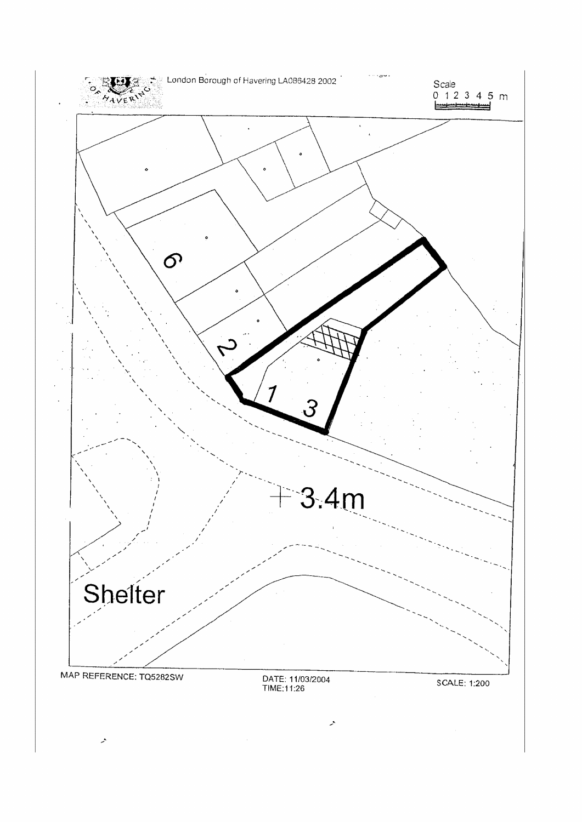

 $\mathcal{L}$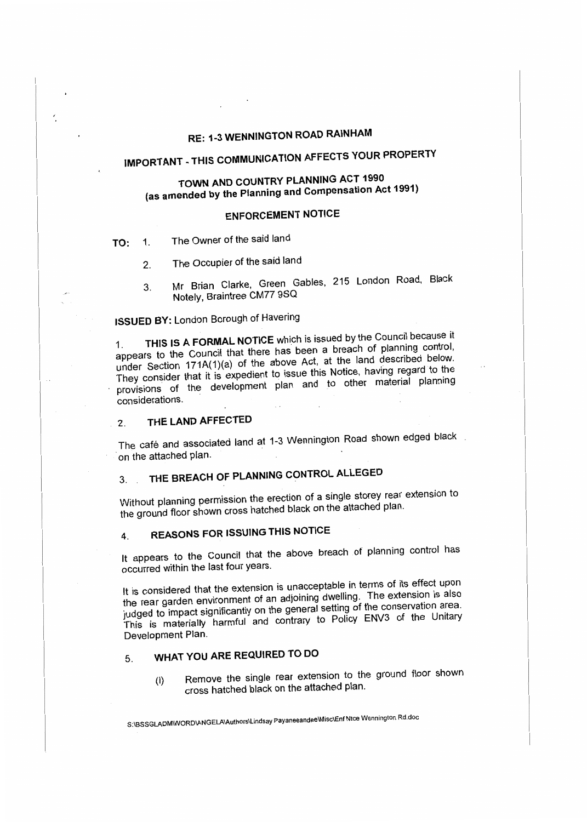## **RE: 1-3 WENNINGTON ROAD RAINHAM**

# **IMPORTANT - THIS COMMUNICATION AFFECTS YOUR PROPERTY**

## **TOWN AND COUNTRY PLANNING ACT 1990 {as amended by the Planning and Compensation Act 1991)**

## **ENFORCEMENT NOTICE**

**TO:** 1. The Owner of the said land

- 2. The Occupier of the said land
- 3. Mr Brian Clarke, Green Gables, 215 London Road, Black Notely, Braintree CM77 9SQ

## **ISSUED BY:** London Borough of Havering

THIS IS A FORMAL NOTICE which is issued by the Council because it appears to the Council that there has been a breach of planning control, under Section 171A(1)(a) of the above Act, at the land described below. They consider that it is expedient to issue this Notice, having regard ·to the provisions of the development plan and to other material planning considerations.

## 2. **THE LAND AFFECTED**

The café and associated land at 1-3 Wennington Road shown edged black on the attached plan.

# 3. . **THE BREACH OF PLANNING CONTROL ALLEGED**

Without planning permission the erection of a single storey rear extension to the ground floor shown cross hatched black on the attached plan.

## **4. REASONS FOR ISSUING THIS NOTICE**

It appears to the Council that the above breach of planning control has occurred within the last four years.

It is considered that the extension is unacceptable in terms of its effect upon the rear garden environment of an adjoining dwelling. The extension is also judged to impact significantly on the general setting of the conservation area. This is materially harmful and contrary to Policy ENV3 of the Unitary Development Plan.

## 5. **WHAT YOU ARE REQUIRED TO DO**

(i) Remove the single rear extension to the ground floor shown cross hatched black on the attached plan.

S:\BSSGLADM\WORO\ANGELA\Authors\Lindsay Payaneeandee\Misc\Enf Nice Wennington Rd.doc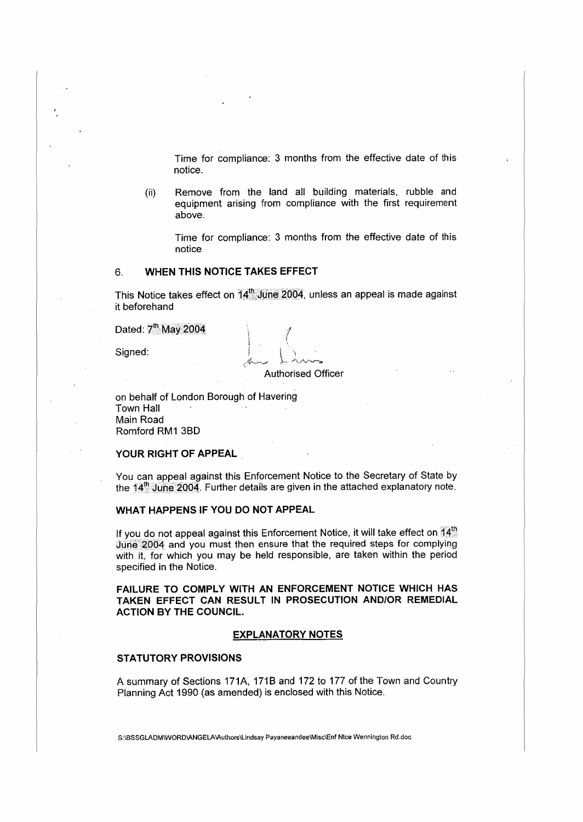Time for compliance: 3 months from the effective date of this notice.

(ii) Remove from the land all building materials, rubble and equipment arising from compliance with the first requirement above.

Time for compliance: 3 months from the effective date of this notice

#### 6. **WHEN THIS NOTICE TAKES EFFECT**

This Notice takes effect on  $14<sup>th</sup>$  June 2004, unless an appeal is made against it beforehand

> *.4*   $\left(\right)$

Dated: 7<sup>th</sup> May 2004

Signed:

Authorised Officer

on behalf of London Borough of Havering Town Hall Main Road Romford RM1 38D

#### **YOUR RIGHT OF APPEAL**

You can appeal against this Enforcement Notice to the Secretary of State by the  $14\frac{th}{2}$  June 2004. Further details are given in the attached explanatory note.

**WHAT HAPPENS** IF **YOU DO NOT APPEAL** 

If you do not appeal against this Enforcement Notice, it will take effect on  $74%$ June 2004 and you must then ensure that the required steps for complying with it, for which you may be held responsible, are taken within the period specified in the Notice.

**FAILURE TO COMPLY WITH AN ENFORCEMENT NOTICE WHICH HAS TAKEN EFFECT CAN RESULT IN PROSECUTION AND/OR REMEDIAL ACTION BY** THE **COUNCIL.** 

#### **EXPLANATORY NOTES**

#### **STATUTORY PROVISIONS**

A summary of Sections 171A, 171B and 172 to 177 of the Town and Country Planning Act 1990 (as amended) is enclosed with this Notice.

S:\BSSGLADM\WORD\ANGELA\Authors\Lindsay Payaneeandee\Misc\Enf Ntce Wennington Rd.doc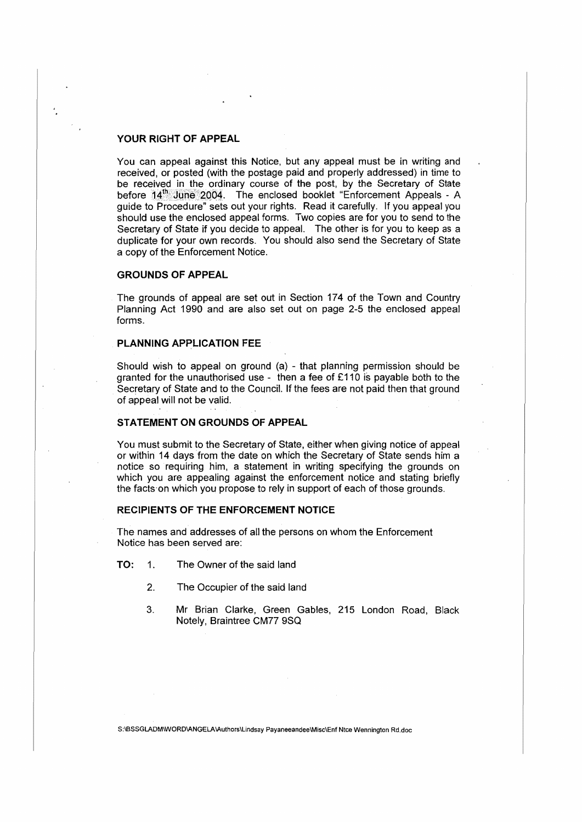## **YOUR RIGHT OF APPEAL**

You can appeal against this Notice, but any appeal must be in writing and received, or posted (with the postage paid and properly addressed) in time to be received in the ordinary course of the post, by the Secretary of State before  $14^{\text{th}}$  June 2004. The enclosed booklet "Enforcement Appeals - A guide to Procedure" sets out your rights. Read it carefully. If you appeal you should use the enclosed appeal forms. Two copies are for you to send to the Secretary of State if you decide to appeal. The other is for you to keep as a duplicate for your own records. You should also send the Secretary of State a copy of the Enforcement Notice.

## **GROUNDS OF APPEAL**

The grounds of appeal are set out in Section 174 of the Town and Country Planning Act 1990 and are also set out on page 2-5 the enclosed appeal forms.

#### **PLANNING APPLICATION** FEE

Should wish to appeal on ground (a) - that planning permission should be granted for the unauthorised use - then a fee of £110 is payable both to the Secretary of State and to the Council. If the fees are not paid then that ground of appeal will not be valid.

#### **STATEMENT ON GROUNDS OF APPEAL**

You must submit to the Secretary of State, either when giving notice of appeal or within 14 days from the date on which the Secretary of State sends him a notice so requiring him, a statement in writing specifying the grounds on which you are appealing against the enforcement notice and stating briefly the facts·on which you propose to rely in support of each of those grounds.

#### **RECIPIENTS OF THE ENFORCEMENT NOTICE**

The names and addresses of all the persons on whom the Enforcement Notice has been served are:

- **TO:** 1. The Owner of the said land
	- 2. The Occupier of the said land
	- **3. Mr Brian Clarke, Green Gables, 215 London Road,** Black **Notely, Braintree CM77 9SQ**